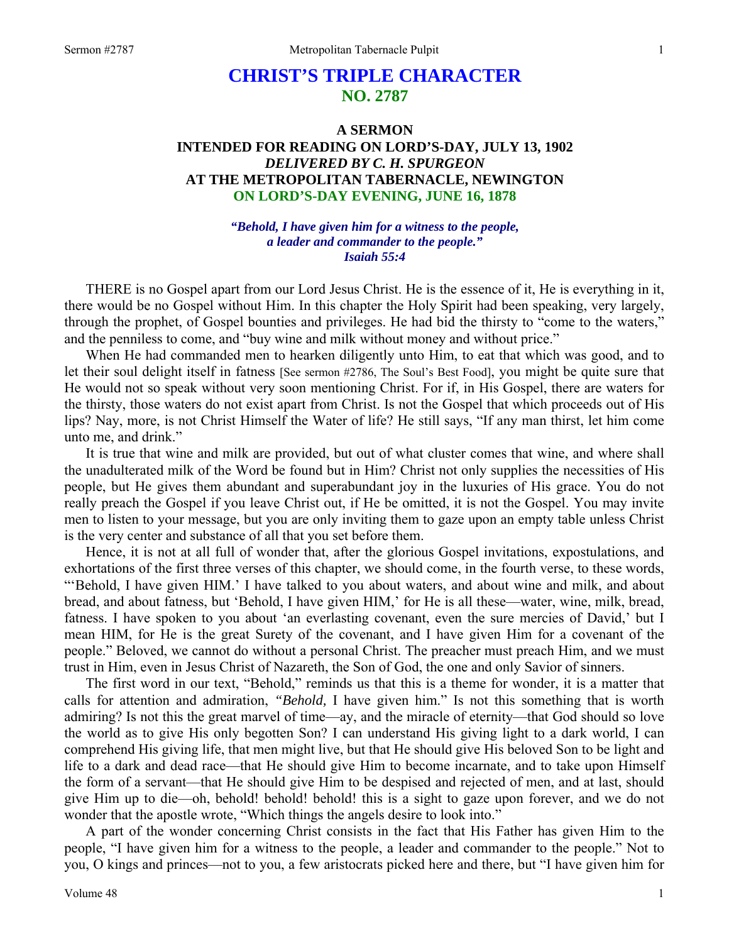## **CHRIST'S TRIPLE CHARACTER NO. 2787**

## **A SERMON INTENDED FOR READING ON LORD'S-DAY, JULY 13, 1902**  *DELIVERED BY C. H. SPURGEON*  **AT THE METROPOLITAN TABERNACLE, NEWINGTON ON LORD'S-DAY EVENING, JUNE 16, 1878**

*"Behold, I have given him for a witness to the people, a leader and commander to the people." Isaiah 55:4* 

THERE is no Gospel apart from our Lord Jesus Christ. He is the essence of it, He is everything in it, there would be no Gospel without Him. In this chapter the Holy Spirit had been speaking, very largely, through the prophet, of Gospel bounties and privileges. He had bid the thirsty to "come to the waters," and the penniless to come, and "buy wine and milk without money and without price."

When He had commanded men to hearken diligently unto Him, to eat that which was good, and to let their soul delight itself in fatness [See sermon #2786, The Soul's Best Food], you might be quite sure that He would not so speak without very soon mentioning Christ. For if, in His Gospel, there are waters for the thirsty, those waters do not exist apart from Christ. Is not the Gospel that which proceeds out of His lips? Nay, more, is not Christ Himself the Water of life? He still says, "If any man thirst, let him come unto me, and drink."

It is true that wine and milk are provided, but out of what cluster comes that wine, and where shall the unadulterated milk of the Word be found but in Him? Christ not only supplies the necessities of His people, but He gives them abundant and superabundant joy in the luxuries of His grace. You do not really preach the Gospel if you leave Christ out, if He be omitted, it is not the Gospel. You may invite men to listen to your message, but you are only inviting them to gaze upon an empty table unless Christ is the very center and substance of all that you set before them.

Hence, it is not at all full of wonder that, after the glorious Gospel invitations, expostulations, and exhortations of the first three verses of this chapter, we should come, in the fourth verse, to these words, "'Behold, I have given HIM.' I have talked to you about waters, and about wine and milk, and about bread, and about fatness, but 'Behold, I have given HIM,' for He is all these—water, wine, milk, bread, fatness. I have spoken to you about 'an everlasting covenant, even the sure mercies of David,' but I mean HIM, for He is the great Surety of the covenant, and I have given Him for a covenant of the people." Beloved, we cannot do without a personal Christ. The preacher must preach Him, and we must trust in Him, even in Jesus Christ of Nazareth, the Son of God, the one and only Savior of sinners.

The first word in our text, "Behold," reminds us that this is a theme for wonder, it is a matter that calls for attention and admiration, *"Behold,* I have given him." Is not this something that is worth admiring? Is not this the great marvel of time—ay, and the miracle of eternity—that God should so love the world as to give His only begotten Son? I can understand His giving light to a dark world, I can comprehend His giving life, that men might live, but that He should give His beloved Son to be light and life to a dark and dead race—that He should give Him to become incarnate, and to take upon Himself the form of a servant—that He should give Him to be despised and rejected of men, and at last, should give Him up to die—oh, behold! behold! behold! this is a sight to gaze upon forever, and we do not wonder that the apostle wrote, "Which things the angels desire to look into."

A part of the wonder concerning Christ consists in the fact that His Father has given Him to the people, "I have given him for a witness to the people, a leader and commander to the people." Not to you, O kings and princes—not to you, a few aristocrats picked here and there, but "I have given him for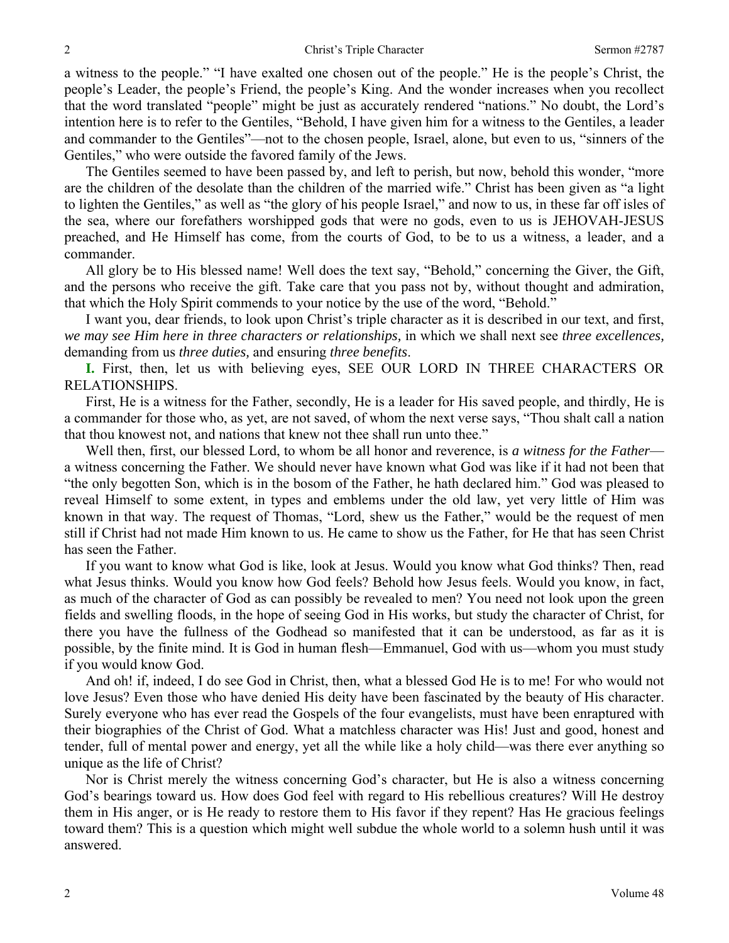a witness to the people." "I have exalted one chosen out of the people." He is the people's Christ, the people's Leader, the people's Friend, the people's King. And the wonder increases when you recollect that the word translated "people" might be just as accurately rendered "nations." No doubt, the Lord's intention here is to refer to the Gentiles, "Behold, I have given him for a witness to the Gentiles, a leader and commander to the Gentiles"—not to the chosen people, Israel, alone, but even to us, "sinners of the Gentiles," who were outside the favored family of the Jews.

The Gentiles seemed to have been passed by, and left to perish, but now, behold this wonder, "more are the children of the desolate than the children of the married wife." Christ has been given as "a light to lighten the Gentiles," as well as "the glory of his people Israel," and now to us, in these far off isles of the sea, where our forefathers worshipped gods that were no gods, even to us is JEHOVAH-JESUS preached, and He Himself has come, from the courts of God, to be to us a witness, a leader, and a commander.

All glory be to His blessed name! Well does the text say, "Behold," concerning the Giver, the Gift, and the persons who receive the gift. Take care that you pass not by, without thought and admiration, that which the Holy Spirit commends to your notice by the use of the word, "Behold."

I want you, dear friends, to look upon Christ's triple character as it is described in our text, and first, *we may see Him here in three characters or relationships,* in which we shall next see *three excellences,*  demanding from us *three duties,* and ensuring *three benefits*.

**I.** First, then, let us with believing eyes, SEE OUR LORD IN THREE CHARACTERS OR RELATIONSHIPS.

First, He is a witness for the Father, secondly, He is a leader for His saved people, and thirdly, He is a commander for those who, as yet, are not saved, of whom the next verse says, "Thou shalt call a nation that thou knowest not, and nations that knew not thee shall run unto thee."

Well then, first, our blessed Lord, to whom be all honor and reverence, is *a witness for the Father* a witness concerning the Father. We should never have known what God was like if it had not been that "the only begotten Son, which is in the bosom of the Father, he hath declared him." God was pleased to reveal Himself to some extent, in types and emblems under the old law, yet very little of Him was known in that way. The request of Thomas, "Lord, shew us the Father," would be the request of men still if Christ had not made Him known to us. He came to show us the Father, for He that has seen Christ has seen the Father.

If you want to know what God is like, look at Jesus. Would you know what God thinks? Then, read what Jesus thinks. Would you know how God feels? Behold how Jesus feels. Would you know, in fact, as much of the character of God as can possibly be revealed to men? You need not look upon the green fields and swelling floods, in the hope of seeing God in His works, but study the character of Christ, for there you have the fullness of the Godhead so manifested that it can be understood, as far as it is possible, by the finite mind. It is God in human flesh—Emmanuel, God with us—whom you must study if you would know God.

And oh! if, indeed, I do see God in Christ, then, what a blessed God He is to me! For who would not love Jesus? Even those who have denied His deity have been fascinated by the beauty of His character. Surely everyone who has ever read the Gospels of the four evangelists, must have been enraptured with their biographies of the Christ of God. What a matchless character was His! Just and good, honest and tender, full of mental power and energy, yet all the while like a holy child—was there ever anything so unique as the life of Christ?

Nor is Christ merely the witness concerning God's character, but He is also a witness concerning God's bearings toward us. How does God feel with regard to His rebellious creatures? Will He destroy them in His anger, or is He ready to restore them to His favor if they repent? Has He gracious feelings toward them? This is a question which might well subdue the whole world to a solemn hush until it was answered.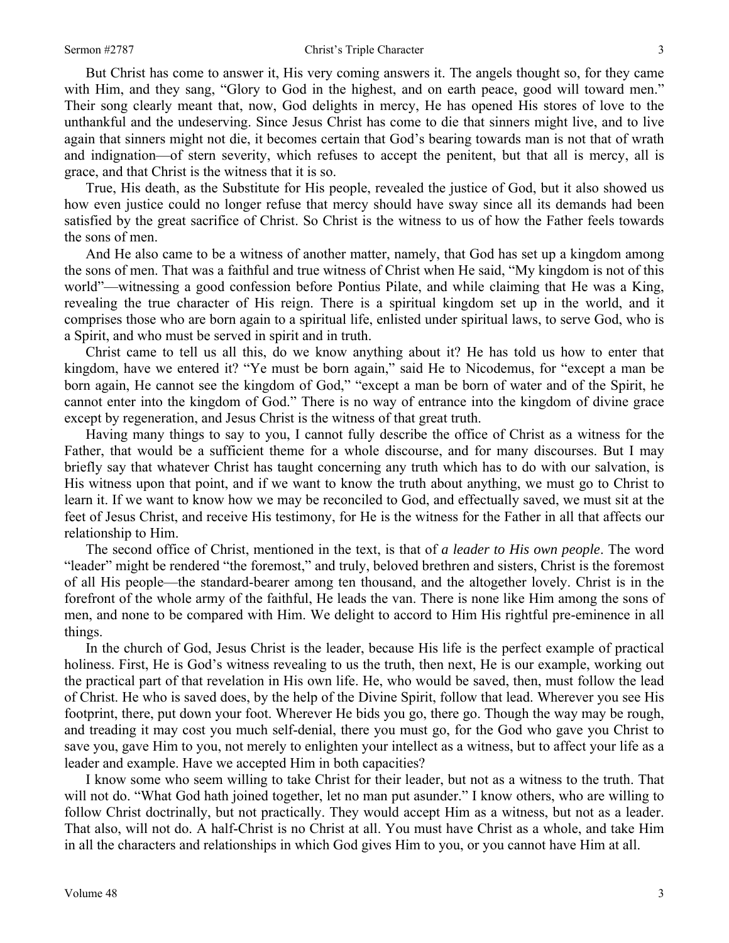But Christ has come to answer it, His very coming answers it. The angels thought so, for they came with Him, and they sang, "Glory to God in the highest, and on earth peace, good will toward men." Their song clearly meant that, now, God delights in mercy, He has opened His stores of love to the unthankful and the undeserving. Since Jesus Christ has come to die that sinners might live, and to live again that sinners might not die, it becomes certain that God's bearing towards man is not that of wrath and indignation—of stern severity, which refuses to accept the penitent, but that all is mercy, all is grace, and that Christ is the witness that it is so.

True, His death, as the Substitute for His people, revealed the justice of God, but it also showed us how even justice could no longer refuse that mercy should have sway since all its demands had been satisfied by the great sacrifice of Christ. So Christ is the witness to us of how the Father feels towards the sons of men.

And He also came to be a witness of another matter, namely, that God has set up a kingdom among the sons of men. That was a faithful and true witness of Christ when He said, "My kingdom is not of this world"—witnessing a good confession before Pontius Pilate, and while claiming that He was a King, revealing the true character of His reign. There is a spiritual kingdom set up in the world, and it comprises those who are born again to a spiritual life, enlisted under spiritual laws, to serve God, who is a Spirit, and who must be served in spirit and in truth.

Christ came to tell us all this, do we know anything about it? He has told us how to enter that kingdom, have we entered it? "Ye must be born again," said He to Nicodemus, for "except a man be born again, He cannot see the kingdom of God," "except a man be born of water and of the Spirit, he cannot enter into the kingdom of God." There is no way of entrance into the kingdom of divine grace except by regeneration, and Jesus Christ is the witness of that great truth.

Having many things to say to you, I cannot fully describe the office of Christ as a witness for the Father, that would be a sufficient theme for a whole discourse, and for many discourses. But I may briefly say that whatever Christ has taught concerning any truth which has to do with our salvation, is His witness upon that point, and if we want to know the truth about anything, we must go to Christ to learn it. If we want to know how we may be reconciled to God, and effectually saved, we must sit at the feet of Jesus Christ, and receive His testimony, for He is the witness for the Father in all that affects our relationship to Him.

The second office of Christ, mentioned in the text, is that of *a leader to His own people*. The word "leader" might be rendered "the foremost," and truly, beloved brethren and sisters, Christ is the foremost of all His people—the standard-bearer among ten thousand, and the altogether lovely. Christ is in the forefront of the whole army of the faithful, He leads the van. There is none like Him among the sons of men, and none to be compared with Him. We delight to accord to Him His rightful pre-eminence in all things.

In the church of God, Jesus Christ is the leader, because His life is the perfect example of practical holiness. First, He is God's witness revealing to us the truth, then next, He is our example, working out the practical part of that revelation in His own life. He, who would be saved, then, must follow the lead of Christ. He who is saved does, by the help of the Divine Spirit, follow that lead. Wherever you see His footprint, there, put down your foot. Wherever He bids you go, there go. Though the way may be rough, and treading it may cost you much self-denial, there you must go, for the God who gave you Christ to save you, gave Him to you, not merely to enlighten your intellect as a witness, but to affect your life as a leader and example. Have we accepted Him in both capacities?

I know some who seem willing to take Christ for their leader, but not as a witness to the truth. That will not do. "What God hath joined together, let no man put asunder." I know others, who are willing to follow Christ doctrinally, but not practically. They would accept Him as a witness, but not as a leader. That also, will not do. A half-Christ is no Christ at all. You must have Christ as a whole, and take Him in all the characters and relationships in which God gives Him to you, or you cannot have Him at all.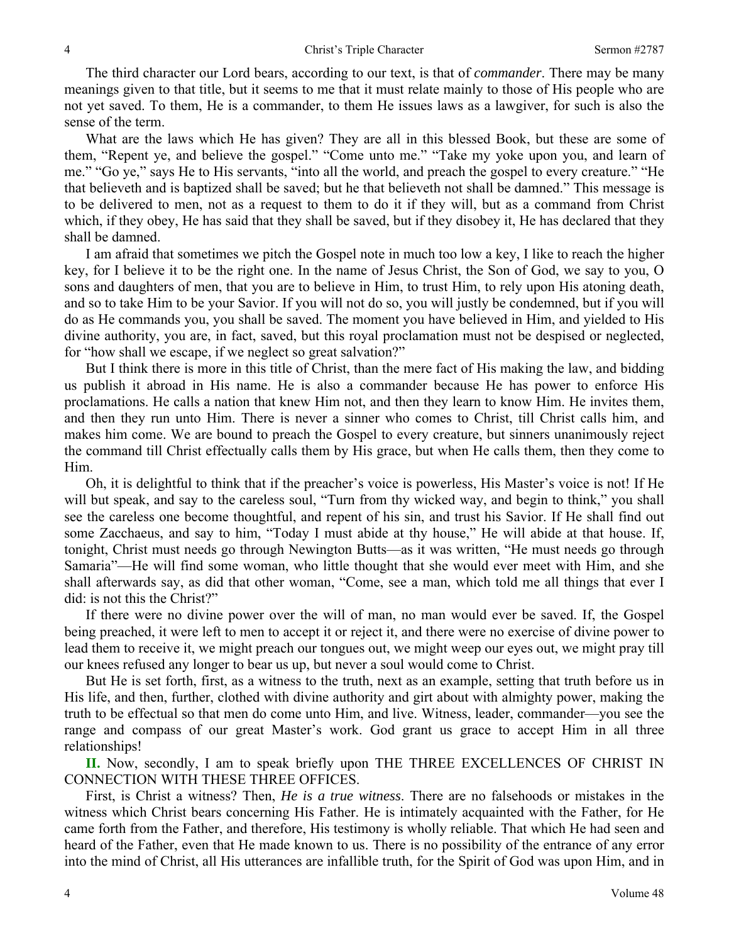The third character our Lord bears, according to our text, is that of *commander*. There may be many meanings given to that title, but it seems to me that it must relate mainly to those of His people who are not yet saved. To them, He is a commander, to them He issues laws as a lawgiver, for such is also the sense of the term.

What are the laws which He has given? They are all in this blessed Book, but these are some of them, "Repent ye, and believe the gospel." "Come unto me." "Take my yoke upon you, and learn of me." "Go ye," says He to His servants, "into all the world, and preach the gospel to every creature." "He that believeth and is baptized shall be saved; but he that believeth not shall be damned." This message is to be delivered to men, not as a request to them to do it if they will, but as a command from Christ which, if they obey, He has said that they shall be saved, but if they disobey it, He has declared that they shall be damned.

I am afraid that sometimes we pitch the Gospel note in much too low a key, I like to reach the higher key, for I believe it to be the right one. In the name of Jesus Christ, the Son of God, we say to you, O sons and daughters of men, that you are to believe in Him, to trust Him, to rely upon His atoning death, and so to take Him to be your Savior. If you will not do so, you will justly be condemned, but if you will do as He commands you, you shall be saved. The moment you have believed in Him, and yielded to His divine authority, you are, in fact, saved, but this royal proclamation must not be despised or neglected, for "how shall we escape, if we neglect so great salvation?"

But I think there is more in this title of Christ, than the mere fact of His making the law, and bidding us publish it abroad in His name. He is also a commander because He has power to enforce His proclamations. He calls a nation that knew Him not, and then they learn to know Him. He invites them, and then they run unto Him. There is never a sinner who comes to Christ, till Christ calls him, and makes him come. We are bound to preach the Gospel to every creature, but sinners unanimously reject the command till Christ effectually calls them by His grace, but when He calls them, then they come to Him.

Oh, it is delightful to think that if the preacher's voice is powerless, His Master's voice is not! If He will but speak, and say to the careless soul, "Turn from thy wicked way, and begin to think," you shall see the careless one become thoughtful, and repent of his sin, and trust his Savior. If He shall find out some Zacchaeus, and say to him, "Today I must abide at thy house," He will abide at that house. If, tonight, Christ must needs go through Newington Butts—as it was written, "He must needs go through Samaria"—He will find some woman, who little thought that she would ever meet with Him, and she shall afterwards say, as did that other woman, "Come, see a man, which told me all things that ever I did: is not this the Christ?"

If there were no divine power over the will of man, no man would ever be saved. If, the Gospel being preached, it were left to men to accept it or reject it, and there were no exercise of divine power to lead them to receive it, we might preach our tongues out, we might weep our eyes out, we might pray till our knees refused any longer to bear us up, but never a soul would come to Christ.

But He is set forth, first, as a witness to the truth, next as an example, setting that truth before us in His life, and then, further, clothed with divine authority and girt about with almighty power, making the truth to be effectual so that men do come unto Him, and live. Witness, leader, commander—you see the range and compass of our great Master's work. God grant us grace to accept Him in all three relationships!

**II.** Now, secondly, I am to speak briefly upon THE THREE EXCELLENCES OF CHRIST IN CONNECTION WITH THESE THREE OFFICES.

First, is Christ a witness? Then, *He is a true witness*. There are no falsehoods or mistakes in the witness which Christ bears concerning His Father. He is intimately acquainted with the Father, for He came forth from the Father, and therefore, His testimony is wholly reliable. That which He had seen and heard of the Father, even that He made known to us. There is no possibility of the entrance of any error into the mind of Christ, all His utterances are infallible truth, for the Spirit of God was upon Him, and in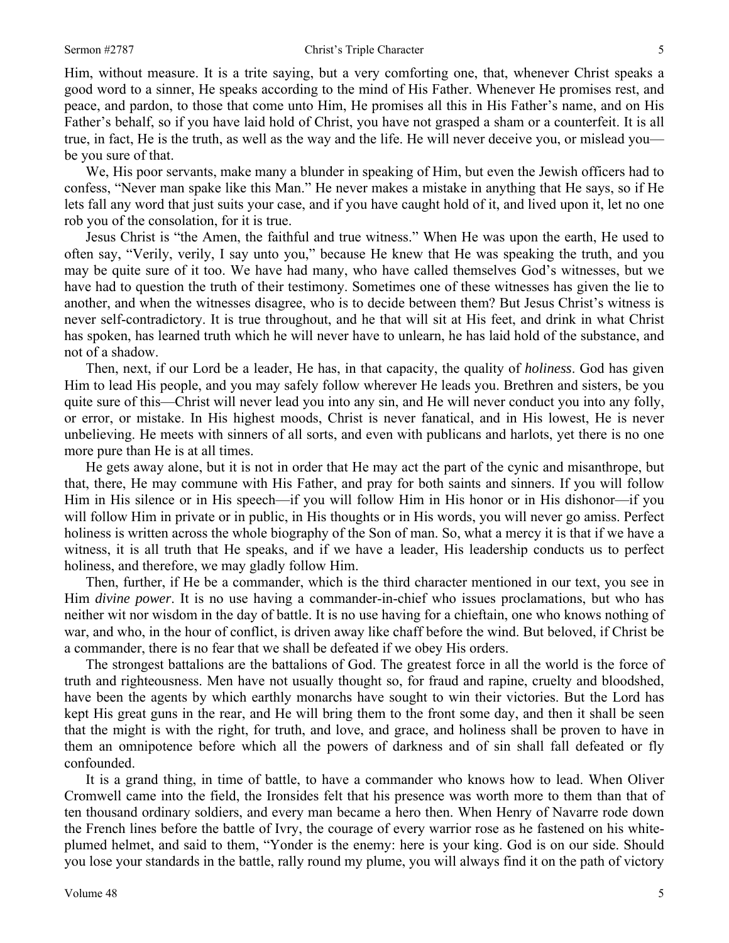Him, without measure. It is a trite saying, but a very comforting one, that, whenever Christ speaks a good word to a sinner, He speaks according to the mind of His Father. Whenever He promises rest, and peace, and pardon, to those that come unto Him, He promises all this in His Father's name, and on His Father's behalf, so if you have laid hold of Christ, you have not grasped a sham or a counterfeit. It is all true, in fact, He is the truth, as well as the way and the life. He will never deceive you, or mislead you be you sure of that.

We, His poor servants, make many a blunder in speaking of Him, but even the Jewish officers had to confess, "Never man spake like this Man." He never makes a mistake in anything that He says, so if He lets fall any word that just suits your case, and if you have caught hold of it, and lived upon it, let no one rob you of the consolation, for it is true.

Jesus Christ is "the Amen, the faithful and true witness." When He was upon the earth, He used to often say, "Verily, verily, I say unto you," because He knew that He was speaking the truth, and you may be quite sure of it too. We have had many, who have called themselves God's witnesses, but we have had to question the truth of their testimony. Sometimes one of these witnesses has given the lie to another, and when the witnesses disagree, who is to decide between them? But Jesus Christ's witness is never self-contradictory. It is true throughout, and he that will sit at His feet, and drink in what Christ has spoken, has learned truth which he will never have to unlearn, he has laid hold of the substance, and not of a shadow.

Then, next, if our Lord be a leader, He has, in that capacity, the quality of *holiness*. God has given Him to lead His people, and you may safely follow wherever He leads you. Brethren and sisters, be you quite sure of this—Christ will never lead you into any sin, and He will never conduct you into any folly, or error, or mistake. In His highest moods, Christ is never fanatical, and in His lowest, He is never unbelieving. He meets with sinners of all sorts, and even with publicans and harlots, yet there is no one more pure than He is at all times.

He gets away alone, but it is not in order that He may act the part of the cynic and misanthrope, but that, there, He may commune with His Father, and pray for both saints and sinners. If you will follow Him in His silence or in His speech—if you will follow Him in His honor or in His dishonor—if you will follow Him in private or in public, in His thoughts or in His words, you will never go amiss. Perfect holiness is written across the whole biography of the Son of man. So, what a mercy it is that if we have a witness, it is all truth that He speaks, and if we have a leader, His leadership conducts us to perfect holiness, and therefore, we may gladly follow Him.

Then, further, if He be a commander, which is the third character mentioned in our text, you see in Him *divine power*. It is no use having a commander-in-chief who issues proclamations, but who has neither wit nor wisdom in the day of battle. It is no use having for a chieftain, one who knows nothing of war, and who, in the hour of conflict, is driven away like chaff before the wind. But beloved, if Christ be a commander, there is no fear that we shall be defeated if we obey His orders.

The strongest battalions are the battalions of God. The greatest force in all the world is the force of truth and righteousness. Men have not usually thought so, for fraud and rapine, cruelty and bloodshed, have been the agents by which earthly monarchs have sought to win their victories. But the Lord has kept His great guns in the rear, and He will bring them to the front some day, and then it shall be seen that the might is with the right, for truth, and love, and grace, and holiness shall be proven to have in them an omnipotence before which all the powers of darkness and of sin shall fall defeated or fly confounded.

It is a grand thing, in time of battle, to have a commander who knows how to lead. When Oliver Cromwell came into the field, the Ironsides felt that his presence was worth more to them than that of ten thousand ordinary soldiers, and every man became a hero then. When Henry of Navarre rode down the French lines before the battle of Ivry, the courage of every warrior rose as he fastened on his whiteplumed helmet, and said to them, "Yonder is the enemy: here is your king. God is on our side. Should you lose your standards in the battle, rally round my plume, you will always find it on the path of victory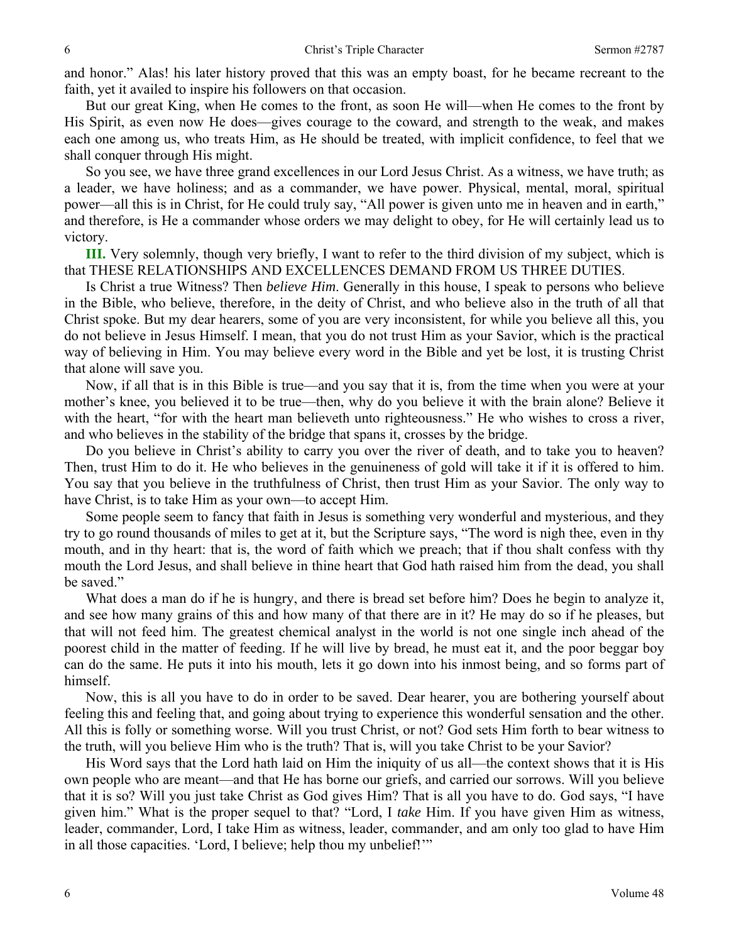and honor." Alas! his later history proved that this was an empty boast, for he became recreant to the faith, yet it availed to inspire his followers on that occasion.

But our great King, when He comes to the front, as soon He will—when He comes to the front by His Spirit, as even now He does—gives courage to the coward, and strength to the weak, and makes each one among us, who treats Him, as He should be treated, with implicit confidence, to feel that we shall conquer through His might.

So you see, we have three grand excellences in our Lord Jesus Christ. As a witness, we have truth; as a leader, we have holiness; and as a commander, we have power. Physical, mental, moral, spiritual power—all this is in Christ, for He could truly say, "All power is given unto me in heaven and in earth," and therefore, is He a commander whose orders we may delight to obey, for He will certainly lead us to victory.

**III.** Very solemnly, though very briefly, I want to refer to the third division of my subject, which is that THESE RELATIONSHIPS AND EXCELLENCES DEMAND FROM US THREE DUTIES.

Is Christ a true Witness? Then *believe Him*. Generally in this house, I speak to persons who believe in the Bible, who believe, therefore, in the deity of Christ, and who believe also in the truth of all that Christ spoke. But my dear hearers, some of you are very inconsistent, for while you believe all this, you do not believe in Jesus Himself. I mean, that you do not trust Him as your Savior, which is the practical way of believing in Him. You may believe every word in the Bible and yet be lost, it is trusting Christ that alone will save you.

Now, if all that is in this Bible is true—and you say that it is, from the time when you were at your mother's knee, you believed it to be true—then, why do you believe it with the brain alone? Believe it with the heart, "for with the heart man believeth unto righteousness." He who wishes to cross a river, and who believes in the stability of the bridge that spans it, crosses by the bridge.

Do you believe in Christ's ability to carry you over the river of death, and to take you to heaven? Then, trust Him to do it. He who believes in the genuineness of gold will take it if it is offered to him. You say that you believe in the truthfulness of Christ, then trust Him as your Savior. The only way to have Christ, is to take Him as your own—to accept Him.

Some people seem to fancy that faith in Jesus is something very wonderful and mysterious, and they try to go round thousands of miles to get at it, but the Scripture says, "The word is nigh thee, even in thy mouth, and in thy heart: that is, the word of faith which we preach; that if thou shalt confess with thy mouth the Lord Jesus, and shall believe in thine heart that God hath raised him from the dead, you shall be saved."

What does a man do if he is hungry, and there is bread set before him? Does he begin to analyze it, and see how many grains of this and how many of that there are in it? He may do so if he pleases, but that will not feed him. The greatest chemical analyst in the world is not one single inch ahead of the poorest child in the matter of feeding. If he will live by bread, he must eat it, and the poor beggar boy can do the same. He puts it into his mouth, lets it go down into his inmost being, and so forms part of himself.

Now, this is all you have to do in order to be saved. Dear hearer, you are bothering yourself about feeling this and feeling that, and going about trying to experience this wonderful sensation and the other. All this is folly or something worse. Will you trust Christ, or not? God sets Him forth to bear witness to the truth, will you believe Him who is the truth? That is, will you take Christ to be your Savior?

His Word says that the Lord hath laid on Him the iniquity of us all—the context shows that it is His own people who are meant—and that He has borne our griefs, and carried our sorrows. Will you believe that it is so? Will you just take Christ as God gives Him? That is all you have to do. God says, "I have given him." What is the proper sequel to that? "Lord, I *take* Him. If you have given Him as witness, leader, commander, Lord, I take Him as witness, leader, commander, and am only too glad to have Him in all those capacities. 'Lord, I believe; help thou my unbelief!'"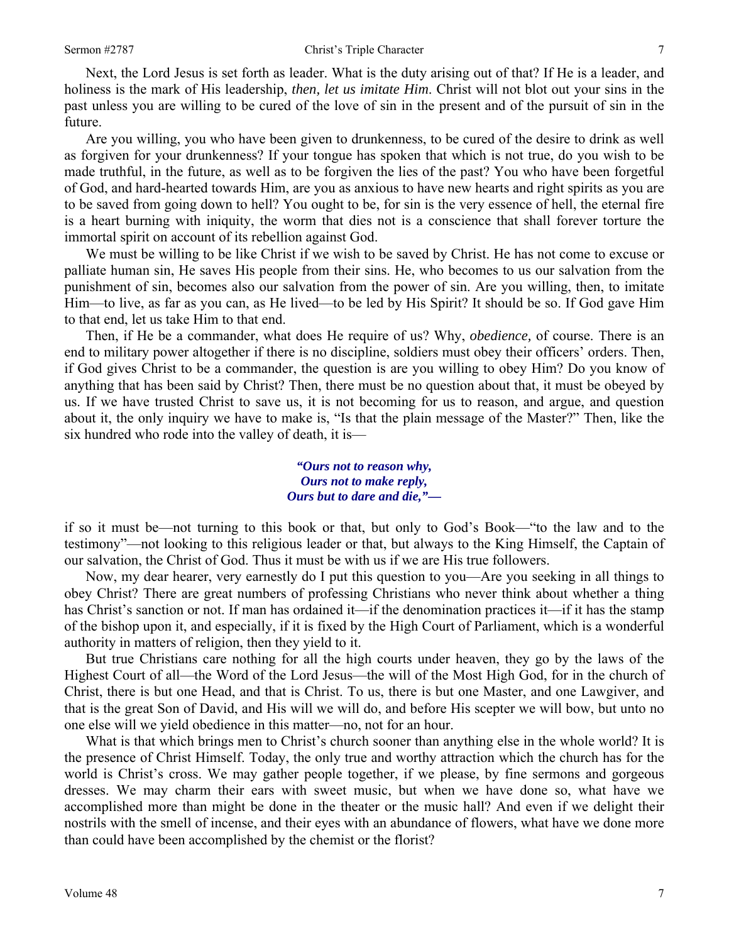Next, the Lord Jesus is set forth as leader. What is the duty arising out of that? If He is a leader, and holiness is the mark of His leadership, *then, let us imitate Him*. Christ will not blot out your sins in the past unless you are willing to be cured of the love of sin in the present and of the pursuit of sin in the future.

Are you willing, you who have been given to drunkenness, to be cured of the desire to drink as well as forgiven for your drunkenness? If your tongue has spoken that which is not true, do you wish to be made truthful, in the future, as well as to be forgiven the lies of the past? You who have been forgetful of God, and hard-hearted towards Him, are you as anxious to have new hearts and right spirits as you are to be saved from going down to hell? You ought to be, for sin is the very essence of hell, the eternal fire is a heart burning with iniquity, the worm that dies not is a conscience that shall forever torture the immortal spirit on account of its rebellion against God.

We must be willing to be like Christ if we wish to be saved by Christ. He has not come to excuse or palliate human sin, He saves His people from their sins. He, who becomes to us our salvation from the punishment of sin, becomes also our salvation from the power of sin. Are you willing, then, to imitate Him—to live, as far as you can, as He lived—to be led by His Spirit? It should be so. If God gave Him to that end, let us take Him to that end.

Then, if He be a commander, what does He require of us? Why, *obedience,* of course. There is an end to military power altogether if there is no discipline, soldiers must obey their officers' orders. Then, if God gives Christ to be a commander, the question is are you willing to obey Him? Do you know of anything that has been said by Christ? Then, there must be no question about that, it must be obeyed by us. If we have trusted Christ to save us, it is not becoming for us to reason, and argue, and question about it, the only inquiry we have to make is, "Is that the plain message of the Master?" Then, like the six hundred who rode into the valley of death, it is—

> *"Ours not to reason why, Ours not to make reply, Ours but to dare and die,"—*

if so it must be—not turning to this book or that, but only to God's Book—"to the law and to the testimony"—not looking to this religious leader or that, but always to the King Himself, the Captain of our salvation, the Christ of God. Thus it must be with us if we are His true followers.

Now, my dear hearer, very earnestly do I put this question to you—Are you seeking in all things to obey Christ? There are great numbers of professing Christians who never think about whether a thing has Christ's sanction or not. If man has ordained it—if the denomination practices it—if it has the stamp of the bishop upon it, and especially, if it is fixed by the High Court of Parliament, which is a wonderful authority in matters of religion, then they yield to it.

But true Christians care nothing for all the high courts under heaven, they go by the laws of the Highest Court of all—the Word of the Lord Jesus—the will of the Most High God, for in the church of Christ, there is but one Head, and that is Christ. To us, there is but one Master, and one Lawgiver, and that is the great Son of David, and His will we will do, and before His scepter we will bow, but unto no one else will we yield obedience in this matter—no, not for an hour.

What is that which brings men to Christ's church sooner than anything else in the whole world? It is the presence of Christ Himself. Today, the only true and worthy attraction which the church has for the world is Christ's cross. We may gather people together, if we please, by fine sermons and gorgeous dresses. We may charm their ears with sweet music, but when we have done so, what have we accomplished more than might be done in the theater or the music hall? And even if we delight their nostrils with the smell of incense, and their eyes with an abundance of flowers, what have we done more than could have been accomplished by the chemist or the florist?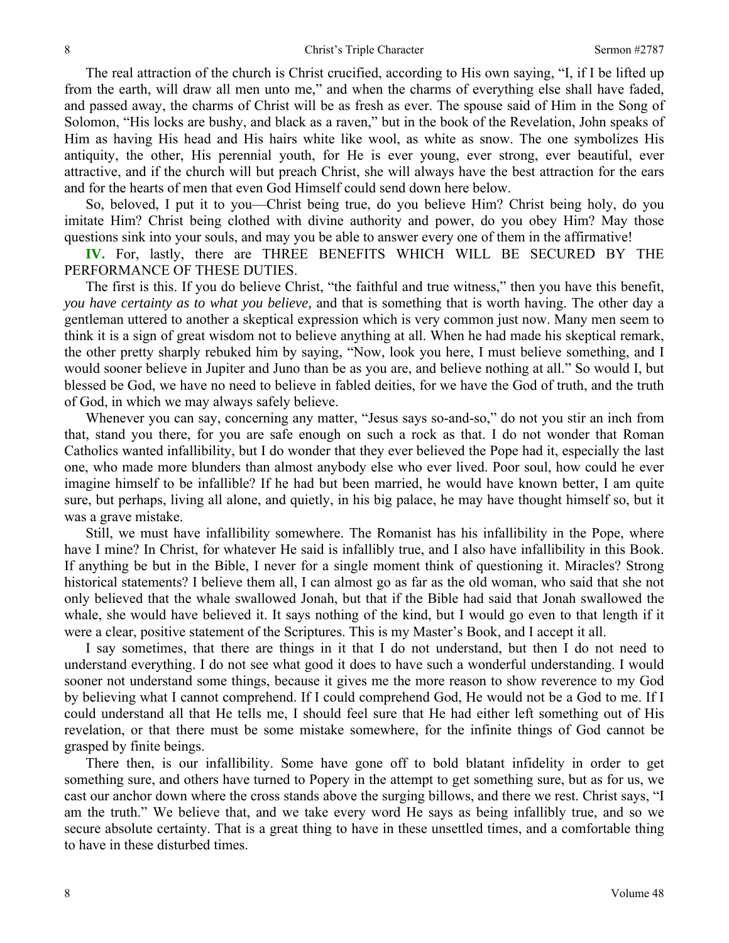The real attraction of the church is Christ crucified, according to His own saying, "I, if I be lifted up from the earth, will draw all men unto me," and when the charms of everything else shall have faded, and passed away, the charms of Christ will be as fresh as ever. The spouse said of Him in the Song of Solomon, "His locks are bushy, and black as a raven," but in the book of the Revelation, John speaks of Him as having His head and His hairs white like wool, as white as snow. The one symbolizes His antiquity, the other, His perennial youth, for He is ever young, ever strong, ever beautiful, ever attractive, and if the church will but preach Christ, she will always have the best attraction for the ears and for the hearts of men that even God Himself could send down here below.

So, beloved, I put it to you—Christ being true, do you believe Him? Christ being holy, do you imitate Him? Christ being clothed with divine authority and power, do you obey Him? May those questions sink into your souls, and may you be able to answer every one of them in the affirmative!

**IV.** For, lastly, there are THREE BENEFITS WHICH WILL BE SECURED BY THE PERFORMANCE OF THESE DUTIES.

The first is this. If you do believe Christ, "the faithful and true witness," then you have this benefit, *you have certainty as to what you believe,* and that is something that is worth having. The other day a gentleman uttered to another a skeptical expression which is very common just now. Many men seem to think it is a sign of great wisdom not to believe anything at all. When he had made his skeptical remark, the other pretty sharply rebuked him by saying, "Now, look you here, I must believe something, and I would sooner believe in Jupiter and Juno than be as you are, and believe nothing at all." So would I, but blessed be God, we have no need to believe in fabled deities, for we have the God of truth, and the truth of God, in which we may always safely believe.

Whenever you can say, concerning any matter, "Jesus says so-and-so," do not you stir an inch from that, stand you there, for you are safe enough on such a rock as that. I do not wonder that Roman Catholics wanted infallibility, but I do wonder that they ever believed the Pope had it, especially the last one, who made more blunders than almost anybody else who ever lived. Poor soul, how could he ever imagine himself to be infallible? If he had but been married, he would have known better, I am quite sure, but perhaps, living all alone, and quietly, in his big palace, he may have thought himself so, but it was a grave mistake.

Still, we must have infallibility somewhere. The Romanist has his infallibility in the Pope, where have I mine? In Christ, for whatever He said is infallibly true, and I also have infallibility in this Book. If anything be but in the Bible, I never for a single moment think of questioning it. Miracles? Strong historical statements? I believe them all, I can almost go as far as the old woman, who said that she not only believed that the whale swallowed Jonah, but that if the Bible had said that Jonah swallowed the whale, she would have believed it. It says nothing of the kind, but I would go even to that length if it were a clear, positive statement of the Scriptures. This is my Master's Book, and I accept it all.

I say sometimes, that there are things in it that I do not understand, but then I do not need to understand everything. I do not see what good it does to have such a wonderful understanding. I would sooner not understand some things, because it gives me the more reason to show reverence to my God by believing what I cannot comprehend. If I could comprehend God, He would not be a God to me. If I could understand all that He tells me, I should feel sure that He had either left something out of His revelation, or that there must be some mistake somewhere, for the infinite things of God cannot be grasped by finite beings.

There then, is our infallibility. Some have gone off to bold blatant infidelity in order to get something sure, and others have turned to Popery in the attempt to get something sure, but as for us, we cast our anchor down where the cross stands above the surging billows, and there we rest. Christ says, "I am the truth." We believe that, and we take every word He says as being infallibly true, and so we secure absolute certainty. That is a great thing to have in these unsettled times, and a comfortable thing to have in these disturbed times.